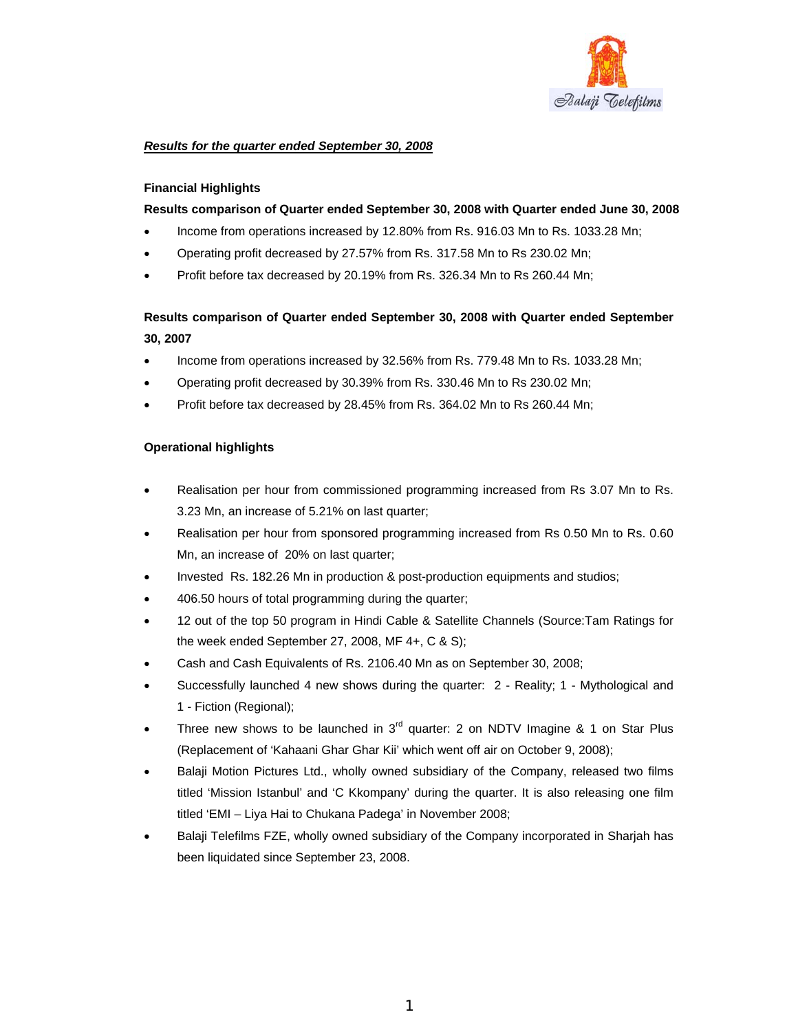

## *Results for the quarter ended September 30, 2008*

### **Financial Highlights**

### **Results comparison of Quarter ended September 30, 2008 with Quarter ended June 30, 2008**

- Income from operations increased by 12.80% from Rs. 916.03 Mn to Rs. 1033.28 Mn;
- Operating profit decreased by 27.57% from Rs. 317.58 Mn to Rs 230.02 Mn;
- Profit before tax decreased by 20.19% from Rs. 326.34 Mn to Rs 260.44 Mn;

# **Results comparison of Quarter ended September 30, 2008 with Quarter ended September 30, 2007**

- Income from operations increased by 32.56% from Rs. 779.48 Mn to Rs. 1033.28 Mn;
- Operating profit decreased by 30.39% from Rs. 330.46 Mn to Rs 230.02 Mn;
- Profit before tax decreased by 28.45% from Rs. 364.02 Mn to Rs 260.44 Mn;

# **Operational highlights**

- Realisation per hour from commissioned programming increased from Rs 3.07 Mn to Rs. 3.23 Mn, an increase of 5.21% on last quarter;
- Realisation per hour from sponsored programming increased from Rs 0.50 Mn to Rs. 0.60 Mn, an increase of 20% on last quarter;
- Invested Rs. 182.26 Mn in production & post-production equipments and studios;
- 406.50 hours of total programming during the quarter;
- 12 out of the top 50 program in Hindi Cable & Satellite Channels (Source:Tam Ratings for the week ended September 27, 2008, MF 4+, C & S);
- Cash and Cash Equivalents of Rs. 2106.40 Mn as on September 30, 2008;
- Successfully launched 4 new shows during the quarter: 2 Reality; 1 Mythological and 1 - Fiction (Regional);
- Three new shows to be launched in  $3<sup>rd</sup>$  quarter: 2 on NDTV Imagine & 1 on Star Plus (Replacement of 'Kahaani Ghar Ghar Kii' which went off air on October 9, 2008);
- Balaji Motion Pictures Ltd., wholly owned subsidiary of the Company, released two films titled 'Mission Istanbul' and 'C Kkompany' during the quarter. It is also releasing one film titled 'EMI – Liya Hai to Chukana Padega' in November 2008;
- Balaji Telefilms FZE, wholly owned subsidiary of the Company incorporated in Sharjah has been liquidated since September 23, 2008.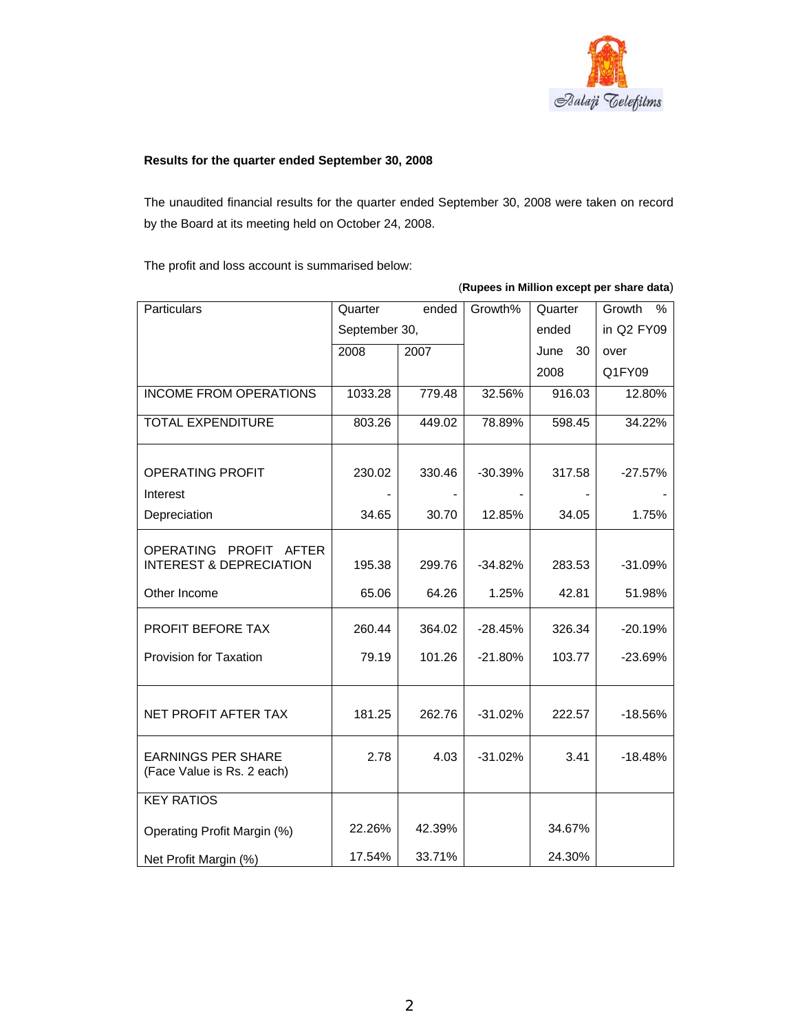

# **Results for the quarter ended September 30, 2008**

The unaudited financial results for the quarter ended September 30, 2008 were taken on record by the Board at its meeting held on October 24, 2008.

The profit and loss account is summarised below:

| Particulars                                                  | Quarter       | ended  | Growth%   | Quarter    | Growth<br>$\%$ |
|--------------------------------------------------------------|---------------|--------|-----------|------------|----------------|
|                                                              | September 30, |        |           | ended      | in Q2 FY09     |
|                                                              | 2008          | 2007   |           | June<br>30 | over           |
|                                                              |               |        |           | 2008       | Q1FY09         |
| <b>INCOME FROM OPERATIONS</b>                                | 1033.28       | 779.48 | 32.56%    | 916.03     | 12.80%         |
| <b>TOTAL EXPENDITURE</b>                                     | 803.26        | 449.02 | 78.89%    | 598.45     | 34.22%         |
| <b>OPERATING PROFIT</b>                                      | 230.02        | 330.46 | $-30.39%$ | 317.58     | $-27.57%$      |
| Interest                                                     |               |        |           |            |                |
| Depreciation                                                 | 34.65         | 30.70  | 12.85%    | 34.05      | 1.75%          |
| OPERATING PROFIT AFTER<br><b>INTEREST &amp; DEPRECIATION</b> | 195.38        | 299.76 | $-34.82%$ | 283.53     | $-31.09%$      |
| Other Income                                                 | 65.06         | 64.26  | 1.25%     | 42.81      | 51.98%         |
| <b>PROFIT BEFORE TAX</b>                                     | 260.44        | 364.02 | $-28.45%$ | 326.34     | $-20.19%$      |
| <b>Provision for Taxation</b>                                | 79.19         | 101.26 | $-21.80%$ | 103.77     | $-23.69%$      |
| NET PROFIT AFTER TAX                                         | 181.25        | 262.76 | $-31.02%$ | 222.57     | $-18.56%$      |
| <b>EARNINGS PER SHARE</b><br>(Face Value is Rs. 2 each)      | 2.78          | 4.03   | $-31.02%$ | 3.41       | $-18.48%$      |
| <b>KEY RATIOS</b>                                            |               |        |           |            |                |
| Operating Profit Margin (%)                                  | 22.26%        | 42.39% |           | 34.67%     |                |
| Net Profit Margin (%)                                        | 17.54%        | 33.71% |           | 24.30%     |                |

(**Rupees in Million except per share data**)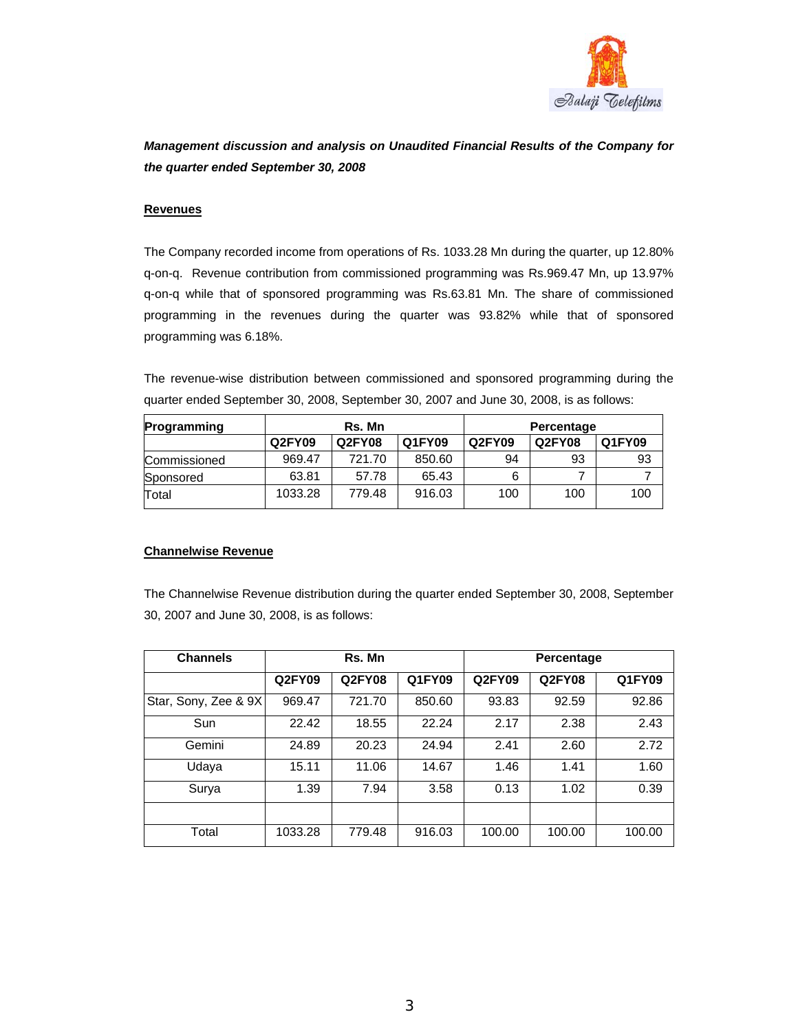

# *Management discussion and analysis on Unaudited Financial Results of the Company for the quarter ended September 30, 2008*

#### **Revenues**

The Company recorded income from operations of Rs. 1033.28 Mn during the quarter, up 12.80% q-on-q. Revenue contribution from commissioned programming was Rs.969.47 Mn, up 13.97% q-on-q while that of sponsored programming was Rs.63.81 Mn. The share of commissioned programming in the revenues during the quarter was 93.82% while that of sponsored programming was 6.18%.

The revenue-wise distribution between commissioned and sponsored programming during the quarter ended September 30, 2008, September 30, 2007 and June 30, 2008, is as follows:

| Programming  | Rs. Mn  |        |        | Percentage |        |        |
|--------------|---------|--------|--------|------------|--------|--------|
|              | Q2FY09  | Q2FY08 | Q1FY09 | Q2FY09     | Q2FY08 | Q1FY09 |
| Commissioned | 969.47  | 721.70 | 850.60 | 94         | 93     | 93     |
| Sponsored    | 63.81   | 57.78  | 65.43  |            |        |        |
| Total        | 1033.28 | 779.48 | 916.03 | 100        | 100    | 100    |

### **Channelwise Revenue**

The Channelwise Revenue distribution during the quarter ended September 30, 2008, September 30, 2007 and June 30, 2008, is as follows:

| <b>Channels</b>      | Rs. Mn  |               |               | Percentage |               |        |
|----------------------|---------|---------------|---------------|------------|---------------|--------|
|                      | Q2FY09  | <b>Q2FY08</b> | <b>Q1FY09</b> | Q2FY09     | <b>Q2FY08</b> | Q1FY09 |
| Star, Sony, Zee & 9X | 969.47  | 721.70        | 850.60        | 93.83      | 92.59         | 92.86  |
| Sun                  | 22.42   | 18.55         | 22.24         | 2.17       | 2.38          | 2.43   |
| Gemini               | 24.89   | 20.23         | 24.94         | 2.41       | 2.60          | 2.72   |
| Udaya                | 15.11   | 11.06         | 14.67         | 1.46       | 1.41          | 1.60   |
| Surya                | 1.39    | 7.94          | 3.58          | 0.13       | 1.02          | 0.39   |
|                      |         |               |               |            |               |        |
| Total                | 1033.28 | 779.48        | 916.03        | 100.00     | 100.00        | 100.00 |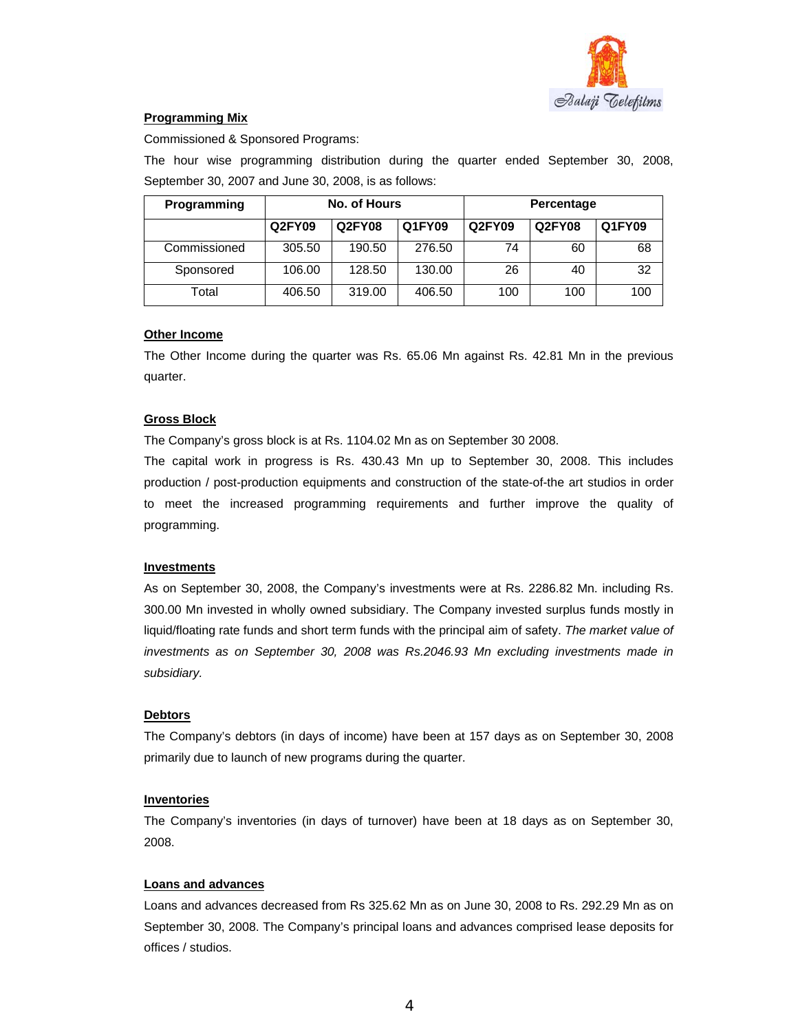

## **Programming Mix**

Commissioned & Sponsored Programs:

The hour wise programming distribution during the quarter ended September 30, 2008, September 30, 2007 and June 30, 2008, is as follows:

| Programming  | No. of Hours |                         |        | Percentage |        |        |
|--------------|--------------|-------------------------|--------|------------|--------|--------|
|              | Q2FY09       | Q1FY09<br><b>Q2FY08</b> |        | Q2FY09     | Q2FY08 | Q1FY09 |
| Commissioned | 305.50       | 190.50                  | 276.50 | 74         | 60     | 68     |
| Sponsored    | 106.00       | 128.50                  | 130.00 | 26         | 40     | 32     |
| Total        | 406.50       | 319.00                  | 406.50 | 100        | 100    | 100    |

### **Other Income**

The Other Income during the quarter was Rs. 65.06 Mn against Rs. 42.81 Mn in the previous quarter.

# **Gross Block**

The Company's gross block is at Rs. 1104.02 Mn as on September 30 2008.

The capital work in progress is Rs. 430.43 Mn up to September 30, 2008. This includes production / post-production equipments and construction of the state-of-the art studios in order to meet the increased programming requirements and further improve the quality of programming.

### **Investments**

As on September 30, 2008, the Company's investments were at Rs. 2286.82 Mn. including Rs. 300.00 Mn invested in wholly owned subsidiary. The Company invested surplus funds mostly in liquid/floating rate funds and short term funds with the principal aim of safety. *The market value of investments as on September 30, 2008 was Rs.2046.93 Mn excluding investments made in subsidiary.*

### **Debtors**

The Company's debtors (in days of income) have been at 157 days as on September 30, 2008 primarily due to launch of new programs during the quarter.

### **Inventories**

The Company's inventories (in days of turnover) have been at 18 days as on September 30, 2008.

### **Loans and advances**

Loans and advances decreased from Rs 325.62 Mn as on June 30, 2008 to Rs. 292.29 Mn as on September 30, 2008. The Company's principal loans and advances comprised lease deposits for offices / studios.